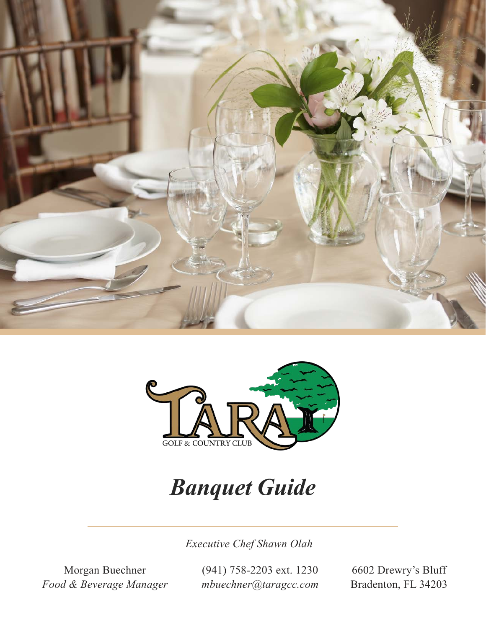



# *Banquet Guide*

*Executive Chef Shawn Olah*

Morgan Buechner *Food & Beverage Manager* (941) 758-2203 ext. 1230 *mbuechner@taragcc.com*

6602 Drewry's Bluff Bradenton, FL 34203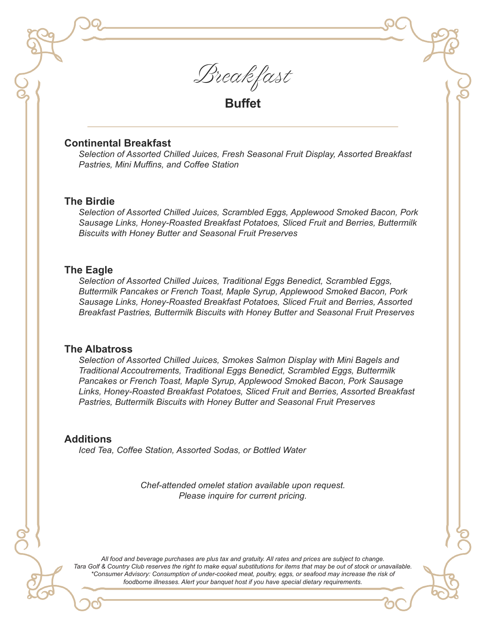

**Buffet**

#### **Continental Breakfast**

*Selection of Assorted Chilled Juices, Fresh Seasonal Fruit Display, Assorted Breakfast Pastries, Mini Muffins, and Coffee Station*

#### **The Birdie**

*Selection of Assorted Chilled Juices, Scrambled Eggs, Applewood Smoked Bacon, Pork Sausage Links, Honey-Roasted Breakfast Potatoes, Sliced Fruit and Berries, Buttermilk Biscuits with Honey Butter and Seasonal Fruit Preserves*

#### **The Eagle**

*Selection of Assorted Chilled Juices, Traditional Eggs Benedict, Scrambled Eggs, Buttermilk Pancakes or French Toast, Maple Syrup, Applewood Smoked Bacon, Pork Sausage Links, Honey-Roasted Breakfast Potatoes, Sliced Fruit and Berries, Assorted Breakfast Pastries, Buttermilk Biscuits with Honey Butter and Seasonal Fruit Preserves*

#### **The Albatross**

*Selection of Assorted Chilled Juices, Smokes Salmon Display with Mini Bagels and Traditional Accoutrements, Traditional Eggs Benedict, Scrambled Eggs, Buttermilk Pancakes or French Toast, Maple Syrup, Applewood Smoked Bacon, Pork Sausage Links, Honey-Roasted Breakfast Potatoes, Sliced Fruit and Berries, Assorted Breakfast Pastries, Buttermilk Biscuits with Honey Butter and Seasonal Fruit Preserves*

#### **Additions**

*Iced Tea, Coffee Station, Assorted Sodas, or Bottled Water*

*Chef-attended omelet station available upon request. Please inquire for current pricing.*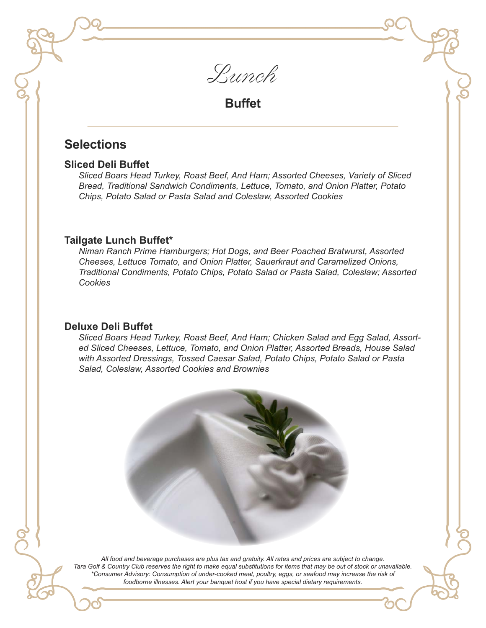

## **Buffet**

# **Selections**

#### **Sliced Deli Buffet**

*Sliced Boars Head Turkey, Roast Beef, And Ham; Assorted Cheeses, Variety of Sliced Bread, Traditional Sandwich Condiments, Lettuce, Tomato, and Onion Platter, Potato Chips, Potato Salad or Pasta Salad and Coleslaw, Assorted Cookies*

#### **Tailgate Lunch Buffet\***

*Niman Ranch Prime Hamburgers; Hot Dogs, and Beer Poached Bratwurst, Assorted Cheeses, Lettuce Tomato, and Onion Platter, Sauerkraut and Caramelized Onions, Traditional Condiments, Potato Chips, Potato Salad or Pasta Salad, Coleslaw; Assorted Cookies*

#### **Deluxe Deli Buffet**

*Sliced Boars Head Turkey, Roast Beef, And Ham; Chicken Salad and Egg Salad, Assorted Sliced Cheeses, Lettuce, Tomato, and Onion Platter, Assorted Breads, House Salad with Assorted Dressings, Tossed Caesar Salad, Potato Chips, Potato Salad or Pasta Salad, Coleslaw, Assorted Cookies and Brownies*

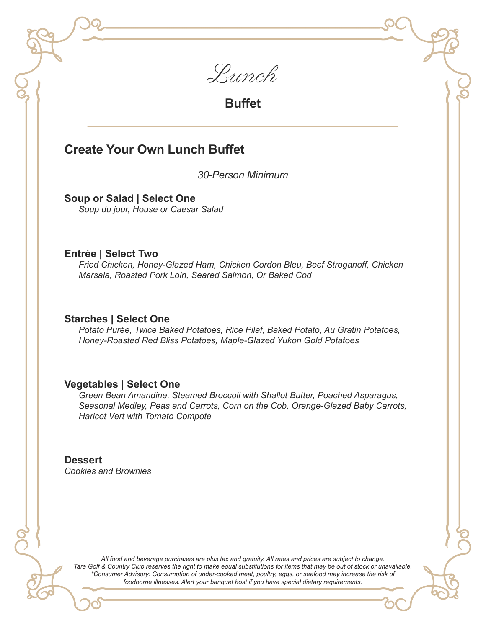

**Buffet**

### **Create Your Own Lunch Buffet**

*30-Person Minimum*

**Soup or Salad | Select One** *Soup du jour, House or Caesar Salad*

#### **Entrée | Select Two**

*Fried Chicken, Honey-Glazed Ham, Chicken Cordon Bleu, Beef Stroganoff, Chicken Marsala, Roasted Pork Loin, Seared Salmon, Or Baked Cod*

#### **Starches | Select One**

*Potato Purée, Twice Baked Potatoes, Rice Pilaf, Baked Potato, Au Gratin Potatoes, Honey-Roasted Red Bliss Potatoes, Maple-Glazed Yukon Gold Potatoes*

#### **Vegetables | Select One**

*Green Bean Amandine, Steamed Broccoli with Shallot Butter, Poached Asparagus, Seasonal Medley, Peas and Carrots, Corn on the Cob, Orange-Glazed Baby Carrots, Haricot Vert with Tomato Compote*

**Dessert** *Cookies and Brownies*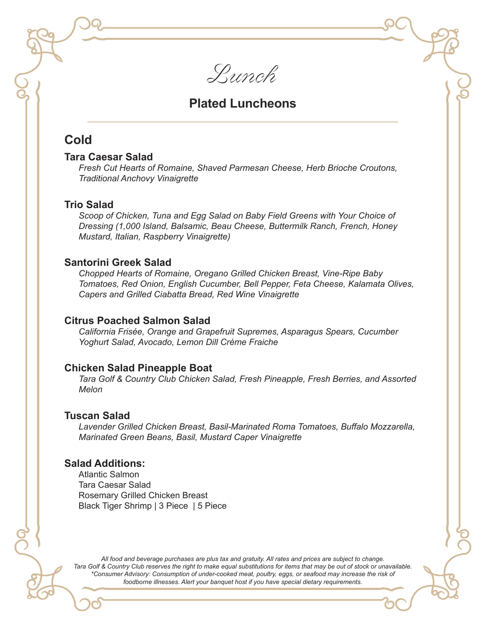Lunch

### **Plated Luncheons**

### **Cold**

#### **Tara Caesar Salad**

*Fresh Cut Hearts of Romaine, Shaved Parmesan Cheese, Herb Brioche Croutons, Traditional Anchovy Vinaigrette*

#### **Trio Salad**

*Scoop of Chicken, Tuna and Egg Salad on Baby Field Greens with Your Choice of Dressing (1,000 Island, Balsamic, Beau Cheese, Buttermilk Ranch, French, Honey Mustard, Italian, Raspberry Vinaigrette)*

#### **Santorini Greek Salad**

*Chopped Hearts of Romaine, Oregano Grilled Chicken Breast, Vine-Ripe Baby Tomatoes, Red Onion, English Cucumber, Bell Pepper, Feta Cheese, Kalamata Olives, Capers and Grilled Ciabatta Bread, Red Wine Vinaigrette*

#### **Citrus Poached Salmon Salad**

*California Frisée, Orange and Grapefruit Supremes, Asparagus Spears, Cucumber Yoghurt Salad, Avocado, Lemon Dill Crème Fraiche*

#### **Chicken Salad Pineapple Boat**

*Tara Golf & Country Club Chicken Salad, Fresh Pineapple, Fresh Berries, and Assorted Melon*

#### **Tuscan Salad**

*Lavender Grilled Chicken Breast, Basil-Marinated Roma Tomatoes, Buffalo Mozzarella, Marinated Green Beans, Basil, Mustard Caper Vinaigrette*

#### **Salad Additions:**

Atlantic Salmon Tara Caesar Salad Rosemary Grilled Chicken Breast Black Tiger Shrimp | 3 Piece | 5 Piece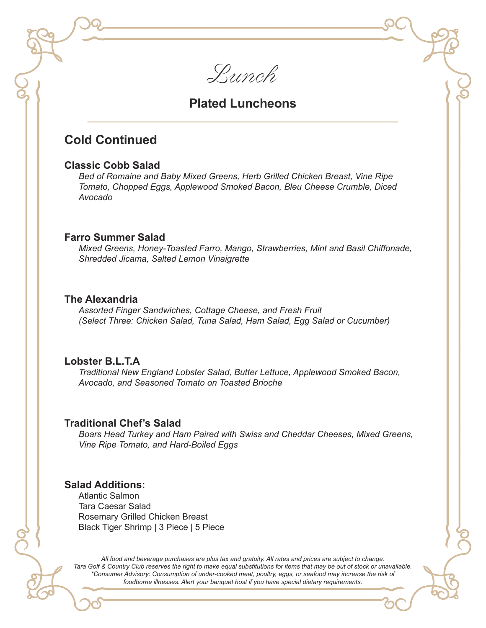Lunch

### **Plated Luncheons**

### **Cold Continued**

#### **Classic Cobb Salad**

*Bed of Romaine and Baby Mixed Greens, Herb Grilled Chicken Breast, Vine Ripe Tomato, Chopped Eggs, Applewood Smoked Bacon, Bleu Cheese Crumble, Diced Avocado*

#### **Farro Summer Salad**

*Mixed Greens, Honey-Toasted Farro, Mango, Strawberries, Mint and Basil Chiffonade, Shredded Jicama, Salted Lemon Vinaigrette*

#### **The Alexandria**

*Assorted Finger Sandwiches, Cottage Cheese, and Fresh Fruit (Select Three: Chicken Salad, Tuna Salad, Ham Salad, Egg Salad or Cucumber)*

#### **Lobster B.L.T.A**

*Traditional New England Lobster Salad, Butter Lettuce, Applewood Smoked Bacon, Avocado, and Seasoned Tomato on Toasted Brioche*

#### **Traditional Chef's Salad**

*Boars Head Turkey and Ham Paired with Swiss and Cheddar Cheeses, Mixed Greens, Vine Ripe Tomato, and Hard-Boiled Eggs*

#### **Salad Additions:**

Atlantic Salmon Tara Caesar Salad Rosemary Grilled Chicken Breast Black Tiger Shrimp | 3 Piece | 5 Piece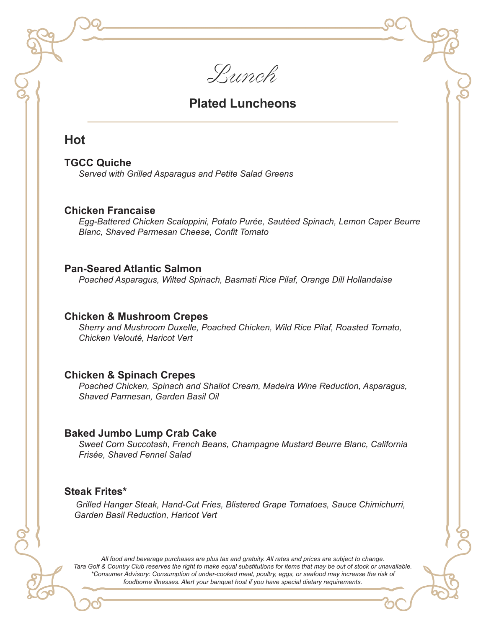Lunch

### **Plated Luncheons**

### **Hot**

#### **TGCC Quiche**

*Served with Grilled Asparagus and Petite Salad Greens*

#### **Chicken Francaise**

*Egg-Battered Chicken Scaloppini, Potato Purée, Sautéed Spinach, Lemon Caper Beurre Blanc, Shaved Parmesan Cheese, Confit Tomato*

#### **Pan-Seared Atlantic Salmon**

*Poached Asparagus, Wilted Spinach, Basmati Rice Pilaf, Orange Dill Hollandaise* 

#### **Chicken & Mushroom Crepes**

*Sherry and Mushroom Duxelle, Poached Chicken, Wild Rice Pilaf, Roasted Tomato, Chicken Velouté, Haricot Vert*

#### **Chicken & Spinach Crepes**

*Poached Chicken, Spinach and Shallot Cream, Madeira Wine Reduction, Asparagus, Shaved Parmesan, Garden Basil Oil*

#### **Baked Jumbo Lump Crab Cake**

*Sweet Corn Succotash, French Beans, Champagne Mustard Beurre Blanc, California Frisée, Shaved Fennel Salad*

#### **Steak Frites\***

*Grilled Hanger Steak, Hand-Cut Fries, Blistered Grape Tomatoes, Sauce Chimichurri, Garden Basil Reduction, Haricot Vert*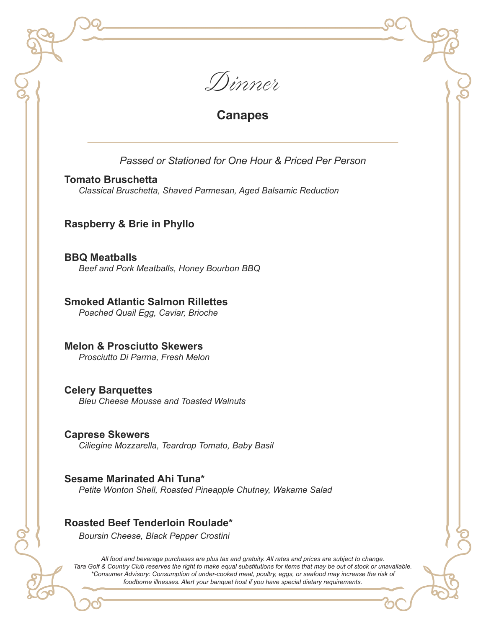

# **Canapes**

### *Passed or Stationed for One Hour & Priced Per Person*

#### **Tomato Bruschetta**

*Classical Bruschetta, Shaved Parmesan, Aged Balsamic Reduction*

### **Raspberry & Brie in Phyllo**

**BBQ Meatballs**  *Beef and Pork Meatballs, Honey Bourbon BBQ* 

### **Smoked Atlantic Salmon Rillettes**

*Poached Quail Egg, Caviar, Brioche*

**Melon & Prosciutto Skewers**  *Prosciutto Di Parma, Fresh Melon*

#### **Celery Barquettes**  *Bleu Cheese Mousse and Toasted Walnuts*

**Caprese Skewers**  *Ciliegine Mozzarella, Teardrop Tomato, Baby Basil*

**Sesame Marinated Ahi Tuna\***  *Petite Wonton Shell, Roasted Pineapple Chutney, Wakame Salad*

### **Roasted Beef Tenderloin Roulade\***

*Boursin Cheese, Black Pepper Crostini*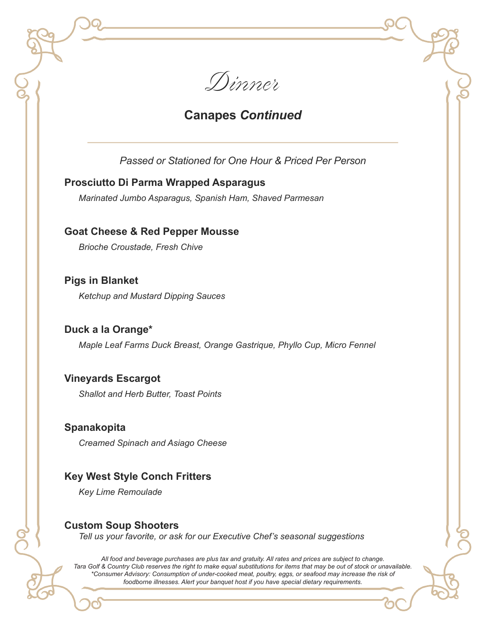

# **Canapes** *Continued*

*Passed or Stationed for One Hour & Priced Per Person*

### **Prosciutto Di Parma Wrapped Asparagus**

*Marinated Jumbo Asparagus, Spanish Ham, Shaved Parmesan*

**Goat Cheese & Red Pepper Mousse** 

*Brioche Croustade, Fresh Chive*

**Pigs in Blanket**  *Ketchup and Mustard Dipping Sauces*

**Duck a la Orange\***  *Maple Leaf Farms Duck Breast, Orange Gastrique, Phyllo Cup, Micro Fennel*

### **Vineyards Escargot**

*Shallot and Herb Butter, Toast Points*

### **Spanakopita**

*Creamed Spinach and Asiago Cheese*

### **Key West Style Conch Fritters**

*Key Lime Remoulade*

### **Custom Soup Shooters**

*Tell us your favorite, or ask for our Executive Chef's seasonal suggestions*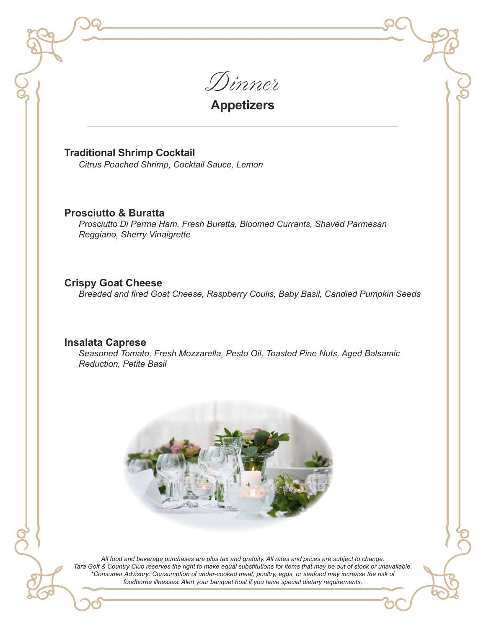Dinner

**Appetizers**

**Traditional Shrimp Cocktail** 

*Citrus Poached Shrimp, Cocktail Sauce, Lemon*

#### **Prosciutto & Buratta**

*Prosciutto Di Parma Ham, Fresh Buratta, Bloomed Currants, Shaved Parmesan Reggiano, Sherry Vinaigrette*

#### **Crispy Goat Cheese**

*Breaded and fired Goat Cheese, Raspberry Coulis, Baby Basil, Candied Pumpkin Seeds*

#### **Insalata Caprese**

*Seasoned Tomato, Fresh Mozzarella, Pesto Oil, Toasted Pine Nuts, Aged Balsamic Reduction, Petite Basil*

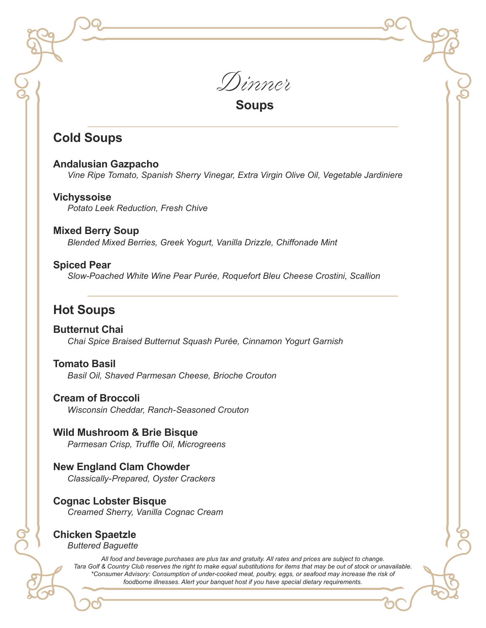Dinner

**Soups**

# **Cold Soups**

**Andalusian Gazpacho**  *Vine Ripe Tomato, Spanish Sherry Vinegar, Extra Virgin Olive Oil, Vegetable Jardiniere*

**Vichyssoise**  *Potato Leek Reduction, Fresh Chive*

**Mixed Berry Soup** *Blended Mixed Berries, Greek Yogurt, Vanilla Drizzle, Chiffonade Mint*

#### **Spiced Pear**

*Slow-Poached White Wine Pear Purée, Roquefort Bleu Cheese Crostini, Scallion*

# **Hot Soups**

**Butternut Chai**  *Chai Spice Braised Butternut Squash Purée, Cinnamon Yogurt Garnish*

**Tomato Basil**  *Basil Oil, Shaved Parmesan Cheese, Brioche Crouton*

**Cream of Broccoli**  *Wisconsin Cheddar, Ranch-Seasoned Crouton*

**Wild Mushroom & Brie Bisque**  *Parmesan Crisp, Truffle Oil, Microgreens*

**New England Clam Chowder**  *Classically-Prepared, Oyster Crackers*

**Cognac Lobster Bisque**  *Creamed Sherry, Vanilla Cognac Cream*

# **Chicken Spaetzle**

*Buttered Baguette*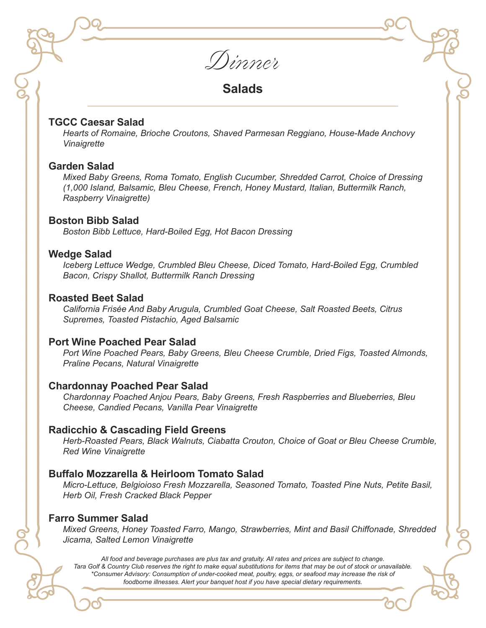Dinner

**Salads**

#### **TGCC Caesar Salad**

*Hearts of Romaine, Brioche Croutons, Shaved Parmesan Reggiano, House-Made Anchovy Vinaigrette*

#### **Garden Salad**

*Mixed Baby Greens, Roma Tomato, English Cucumber, Shredded Carrot, Choice of Dressing (1,000 Island, Balsamic, Bleu Cheese, French, Honey Mustard, Italian, Buttermilk Ranch, Raspberry Vinaigrette)*

#### **Boston Bibb Salad**

*Boston Bibb Lettuce, Hard-Boiled Egg, Hot Bacon Dressing*

#### **Wedge Salad**

*Iceberg Lettuce Wedge, Crumbled Bleu Cheese, Diced Tomato, Hard-Boiled Egg, Crumbled Bacon, Crispy Shallot, Buttermilk Ranch Dressing*

#### **Roasted Beet Salad**

*California Frisée And Baby Arugula, Crumbled Goat Cheese, Salt Roasted Beets, Citrus Supremes, Toasted Pistachio, Aged Balsamic*

#### **Port Wine Poached Pear Salad**

*Port Wine Poached Pears, Baby Greens, Bleu Cheese Crumble, Dried Figs, Toasted Almonds, Praline Pecans, Natural Vinaigrette*

#### **Chardonnay Poached Pear Salad**

*Chardonnay Poached Anjou Pears, Baby Greens, Fresh Raspberries and Blueberries, Bleu Cheese, Candied Pecans, Vanilla Pear Vinaigrette*

#### **Radicchio & Cascading Field Greens**

*Herb-Roasted Pears, Black Walnuts, Ciabatta Crouton, Choice of Goat or Bleu Cheese Crumble, Red Wine Vinaigrette*

#### **Buffalo Mozzarella & Heirloom Tomato Salad**

*Micro-Lettuce, Belgioioso Fresh Mozzarella, Seasoned Tomato, Toasted Pine Nuts, Petite Basil, Herb Oil, Fresh Cracked Black Pepper*

#### **Farro Summer Salad**

*Mixed Greens, Honey Toasted Farro, Mango, Strawberries, Mint and Basil Chiffonade, Shredded Jicama, Salted Lemon Vinaigrette*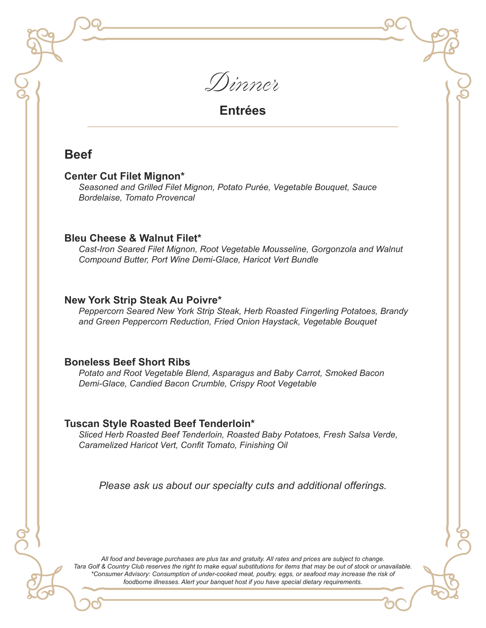

### **Beef**

#### **Center Cut Filet Mignon\***

*Seasoned and Grilled Filet Mignon, Potato Purée, Vegetable Bouquet, Sauce Bordelaise, Tomato Provencal*

#### **Bleu Cheese & Walnut Filet\***

*Cast-Iron Seared Filet Mignon, Root Vegetable Mousseline, Gorgonzola and Walnut Compound Butter, Port Wine Demi-Glace, Haricot Vert Bundle*

#### **New York Strip Steak Au Poivre\***

*Peppercorn Seared New York Strip Steak, Herb Roasted Fingerling Potatoes, Brandy and Green Peppercorn Reduction, Fried Onion Haystack, Vegetable Bouquet*

#### **Boneless Beef Short Ribs**

*Potato and Root Vegetable Blend, Asparagus and Baby Carrot, Smoked Bacon Demi-Glace, Candied Bacon Crumble, Crispy Root Vegetable*

#### **Tuscan Style Roasted Beef Tenderloin\***

*Sliced Herb Roasted Beef Tenderloin, Roasted Baby Potatoes, Fresh Salsa Verde, Caramelized Haricot Vert, Confit Tomato, Finishing Oil*

*Please ask us about our specialty cuts and additional offerings.*

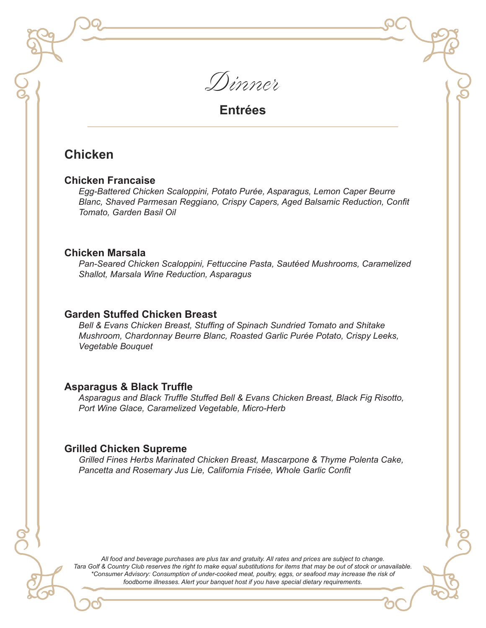Dinner

# **Chicken**

#### **Chicken Francaise**

*Egg-Battered Chicken Scaloppini, Potato Purée, Asparagus, Lemon Caper Beurre Blanc, Shaved Parmesan Reggiano, Crispy Capers, Aged Balsamic Reduction, Confit Tomato, Garden Basil Oil*

#### **Chicken Marsala**

*Pan-Seared Chicken Scaloppini, Fettuccine Pasta, Sautéed Mushrooms, Caramelized Shallot, Marsala Wine Reduction, Asparagus*

#### **Garden Stuffed Chicken Breast**

*Bell & Evans Chicken Breast, Stuffing of Spinach Sundried Tomato and Shitake Mushroom, Chardonnay Beurre Blanc, Roasted Garlic Purée Potato, Crispy Leeks, Vegetable Bouquet*

#### **Asparagus & Black Truffle**

*Asparagus and Black Truffle Stuffed Bell & Evans Chicken Breast, Black Fig Risotto, Port Wine Glace, Caramelized Vegetable, Micro-Herb*

#### **Grilled Chicken Supreme**

*Grilled Fines Herbs Marinated Chicken Breast, Mascarpone & Thyme Polenta Cake, Pancetta and Rosemary Jus Lie, California Frisée, Whole Garlic Confit*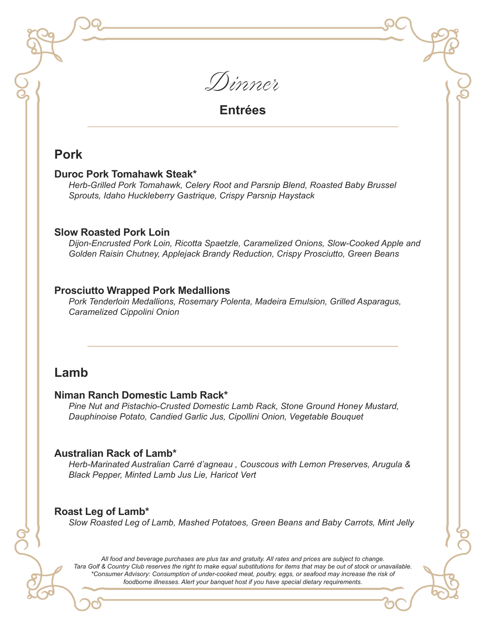

### **Pork**

#### **Duroc Pork Tomahawk Steak\***

*Herb-Grilled Pork Tomahawk, Celery Root and Parsnip Blend, Roasted Baby Brussel Sprouts, Idaho Huckleberry Gastrique, Crispy Parsnip Haystack*

#### **Slow Roasted Pork Loin**

*Dijon-Encrusted Pork Loin, Ricotta Spaetzle, Caramelized Onions, Slow-Cooked Apple and Golden Raisin Chutney, Applejack Brandy Reduction, Crispy Prosciutto, Green Beans*

#### **Prosciutto Wrapped Pork Medallions**

*Pork Tenderloin Medallions, Rosemary Polenta, Madeira Emulsion, Grilled Asparagus, Caramelized Cippolini Onion*

# **Lamb**

#### **Niman Ranch Domestic Lamb Rack\***

*Pine Nut and Pistachio-Crusted Domestic Lamb Rack, Stone Ground Honey Mustard, Dauphinoise Potato, Candied Garlic Jus, Cipollini Onion, Vegetable Bouquet*

#### **Australian Rack of Lamb\***

*Herb-Marinated Australian Carré d'agneau , Couscous with Lemon Preserves, Arugula & Black Pepper, Minted Lamb Jus Lie, Haricot Vert*

### **Roast Leg of Lamb\***

*Slow Roasted Leg of Lamb, Mashed Potatoes, Green Beans and Baby Carrots, Mint Jelly*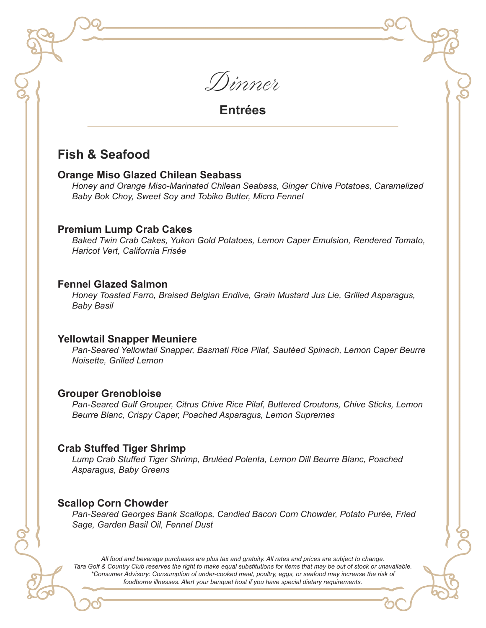Dinner

# **Fish & Seafood**

#### **Orange Miso Glazed Chilean Seabass**

*Honey and Orange Miso-Marinated Chilean Seabass, Ginger Chive Potatoes, Caramelized Baby Bok Choy, Sweet Soy and Tobiko Butter, Micro Fennel*

#### **Premium Lump Crab Cakes**

*Baked Twin Crab Cakes, Yukon Gold Potatoes, Lemon Caper Emulsion, Rendered Tomato, Haricot Vert, California Frisée*

#### **Fennel Glazed Salmon**

*Honey Toasted Farro, Braised Belgian Endive, Grain Mustard Jus Lie, Grilled Asparagus, Baby Basil*

#### **Yellowtail Snapper Meuniere**

*Pan-Seared Yellowtail Snapper, Basmati Rice Pilaf, Sautéed Spinach, Lemon Caper Beurre Noisette, Grilled Lemon*

#### **Grouper Grenobloise**

*Pan-Seared Gulf Grouper, Citrus Chive Rice Pilaf, Buttered Croutons, Chive Sticks, Lemon Beurre Blanc, Crispy Caper, Poached Asparagus, Lemon Supremes*

#### **Crab Stuffed Tiger Shrimp**

*Lump Crab Stuffed Tiger Shrimp, Bruléed Polenta, Lemon Dill Beurre Blanc, Poached Asparagus, Baby Greens*

#### **Scallop Corn Chowder**

*Pan-Seared Georges Bank Scallops, Candied Bacon Corn Chowder, Potato Purée, Fried Sage, Garden Basil Oil, Fennel Dust*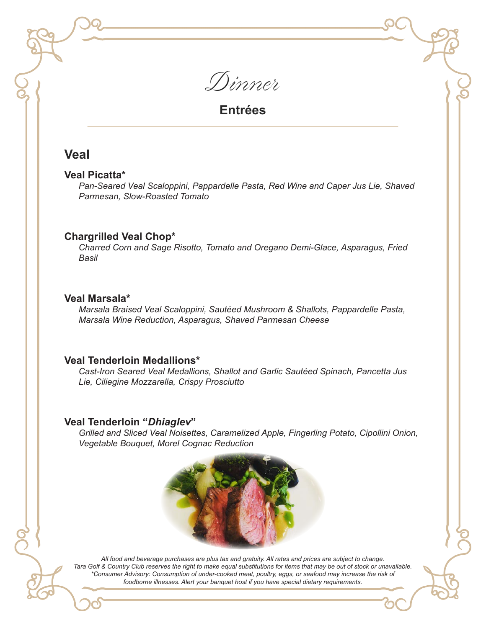

### **Veal**

#### **Veal Picatta\***

*Pan-Seared Veal Scaloppini, Pappardelle Pasta, Red Wine and Caper Jus Lie, Shaved Parmesan, Slow-Roasted Tomato*

#### **Chargrilled Veal Chop\***

*Charred Corn and Sage Risotto, Tomato and Oregano Demi-Glace, Asparagus, Fried Basil*

#### **Veal Marsala\***

*Marsala Braised Veal Scaloppini, Sautéed Mushroom & Shallots, Pappardelle Pasta, Marsala Wine Reduction, Asparagus, Shaved Parmesan Cheese*

#### **Veal Tenderloin Medallions\***

*Cast-Iron Seared Veal Medallions, Shallot and Garlic Sautéed Spinach, Pancetta Jus Lie, Ciliegine Mozzarella, Crispy Prosciutto*

#### **Veal Tenderloin "***Dhiaglev***"**

*Grilled and Sliced Veal Noisettes, Caramelized Apple, Fingerling Potato, Cipollini Onion, Vegetable Bouquet, Morel Cognac Reduction*

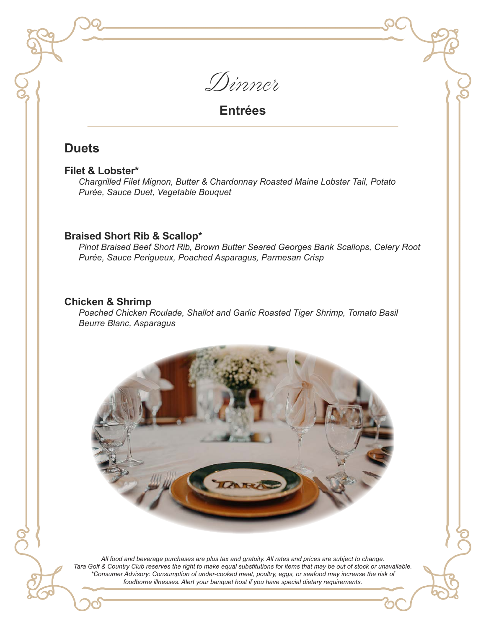Dinner

# **Duets**

#### **Filet & Lobster\***

*Chargrilled Filet Mignon, Butter & Chardonnay Roasted Maine Lobster Tail, Potato Purée, Sauce Duet, Vegetable Bouquet*

#### **Braised Short Rib & Scallop\***

*Pinot Braised Beef Short Rib, Brown Butter Seared Georges Bank Scallops, Celery Root Purée, Sauce Perigueux, Poached Asparagus, Parmesan Crisp*

#### **Chicken & Shrimp**

*Poached Chicken Roulade, Shallot and Garlic Roasted Tiger Shrimp, Tomato Basil Beurre Blanc, Asparagus*

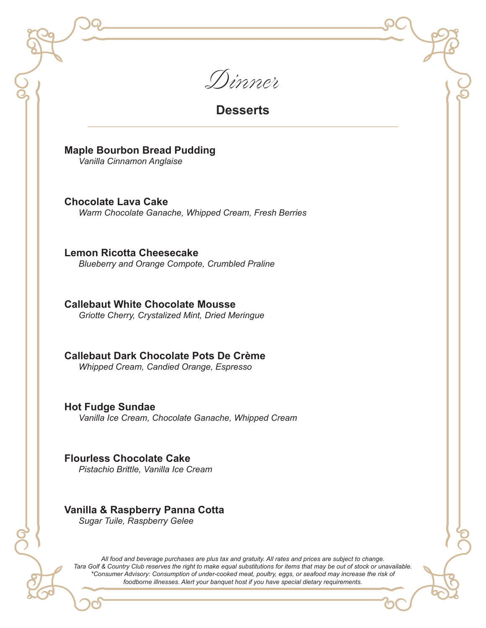Dinner

### **Desserts**

**Maple Bourbon Bread Pudding** 

*Vanilla Cinnamon Anglaise*

**Chocolate Lava Cake**  *Warm Chocolate Ganache, Whipped Cream, Fresh Berries*

**Lemon Ricotta Cheesecake**  *Blueberry and Orange Compote, Crumbled Praline*

**Callebaut White Chocolate Mousse**  *Griotte Cherry, Crystalized Mint, Dried Meringue*

**Callebaut Dark Chocolate Pots De Crème**  *Whipped Cream, Candied Orange, Espresso*

**Hot Fudge Sundae**  *Vanilla Ice Cream, Chocolate Ganache, Whipped Cream*

**Flourless Chocolate Cake**  *Pistachio Brittle, Vanilla Ice Cream*

### **Vanilla & Raspberry Panna Cotta**

*Sugar Tuile, Raspberry Gelee*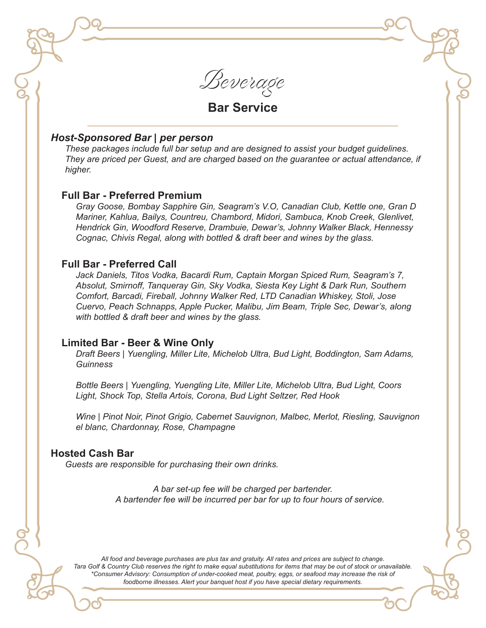Beverage

# **Bar Service**

#### *Host-Sponsored Bar | per person*

*These packages include full bar setup and are designed to assist your budget guidelines. They are priced per Guest, and are charged based on the guarantee or actual attendance, if higher.*

#### **Full Bar - Preferred Premium**

*Gray Goose, Bombay Sapphire Gin, Seagram's V.O, Canadian Club, Kettle one, Gran D Mariner, Kahlua, Bailys, Countreu, Chambord, Midori, Sambuca, Knob Creek, Glenlivet, Hendrick Gin, Woodford Reserve, Drambuie, Dewar's, Johnny Walker Black, Hennessy Cognac, Chivis Regal, along with bottled & draft beer and wines by the glass.*

#### **Full Bar - Preferred Call**

*Jack Daniels, Titos Vodka, Bacardi Rum, Captain Morgan Spiced Rum, Seagram's 7, Absolut, Smirnoff, Tanqueray Gin, Sky Vodka, Siesta Key Light & Dark Run, Southern Comfort, Barcadi, Fireball, Johnny Walker Red, LTD Canadian Whiskey, Stoli, Jose Cuervo, Peach Schnapps, Apple Pucker, Malibu, Jim Beam, Triple Sec, Dewar's, along with bottled & draft beer and wines by the glass.*

#### **Limited Bar - Beer & Wine Only**

*Draft Beers* | *Yuengling, Miller Lite, Michelob Ultra, Bud Light, Boddington, Sam Adams, Guinness*

*Bottle Beers* | *Yuengling, Yuengling Lite, Miller Lite, Michelob Ultra, Bud Light, Coors Light, Shock Top, Stella Artois, Corona, Bud Light Seltzer, Red Hook*

*Wine* | *Pinot Noir, Pinot Grigio, Cabernet Sauvignon, Malbec, Merlot, Riesling, Sauvignon el blanc, Chardonnay, Rose, Champagne*

#### **Hosted Cash Bar**

*Guests are responsible for purchasing their own drinks.*

*A bar set-up fee will be charged per bartender. A bartender fee will be incurred per bar for up to four hours of service.*